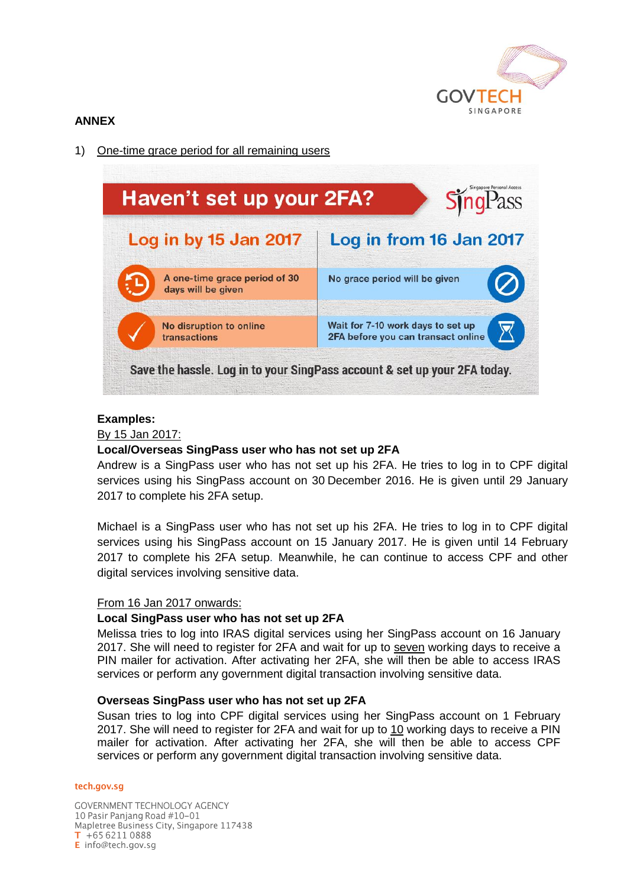

# **ANNEX**

1) One-time grace period for all remaining users



## **Examples:**

By 15 Jan 2017:

## **Local/Overseas SingPass user who has not set up 2FA**

Andrew is a SingPass user who has not set up his 2FA. He tries to log in to CPF digital services using his SingPass account on 30 December 2016. He is given until 29 January 2017 to complete his 2FA setup.

Michael is a SingPass user who has not set up his 2FA. He tries to log in to CPF digital services using his SingPass account on 15 January 2017. He is given until 14 February 2017 to complete his 2FA setup. Meanwhile, he can continue to access CPF and other digital services involving sensitive data.

### From 16 Jan 2017 onwards:

### **Local SingPass user who has not set up 2FA**

Melissa tries to log into IRAS digital services using her SingPass account on 16 January 2017. She will need to register for 2FA and wait for up to seven working days to receive a PIN mailer for activation. After activating her 2FA, she will then be able to access IRAS services or perform any government digital transaction involving sensitive data.

### **Overseas SingPass user who has not set up 2FA**

Susan tries to log into CPF digital services using her SingPass account on 1 February 2017. She will need to register for 2FA and wait for up to 10 working days to receive a PIN mailer for activation. After activating her 2FA, she will then be able to access CPF services or perform any government digital transaction involving sensitive data.

#### tech.gov.sg

**GOVERNMENT TECHNOLOGY AGENCY** 10 Pasir Panjang Road #10-01 Mapletree Business City, Singapore 117438  $T + 6562110888$ E info@tech.gov.sg